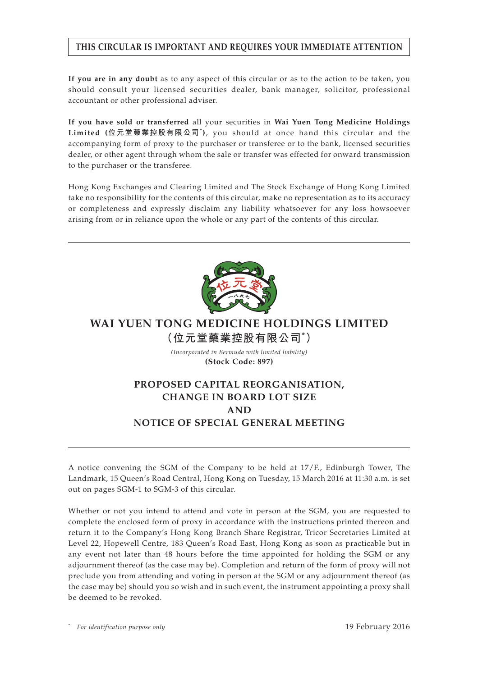# **THIS CIRCULAR IS IMPORTANT AND REQUIRES YOUR IMMEDIATE ATTENTION**

**If you are in any doubt** as to any aspect of this circular or as to the action to be taken, you should consult your licensed securities dealer, bank manager, solicitor, professional accountant or other professional adviser.

**If you have sold or transferred** all your securities in **Wai Yuen Tong Medicine Holdings Limited (位元堂藥業控股有限公司\* )**, you should at once hand this circular and the accompanying form of proxy to the purchaser or transferee or to the bank, licensed securities dealer, or other agent through whom the sale or transfer was effected for onward transmission to the purchaser or the transferee.

Hong Kong Exchanges and Clearing Limited and The Stock Exchange of Hong Kong Limited take no responsibility for the contents of this circular, make no representation as to its accuracy or completeness and expressly disclaim any liability whatsoever for any loss howsoever arising from or in reliance upon the whole or any part of the contents of this circular.



# **WAI YUEN TONG MEDICINE HOLDINGS LIMITED (位元堂藥業控股有限公司\* )**

*(Incorporated in Bermuda with limited liability)* **(Stock Code: 897)**

# **PROPOSED CAPITAL REORGANISATION, CHANGE IN BOARD LOT SIZE AND NOTICE OF SPECIAL GENERAL MEETING**

A notice convening the SGM of the Company to be held at 17/F., Edinburgh Tower, The Landmark, 15 Queen's Road Central, Hong Kong on Tuesday, 15 March 2016 at 11:30 a.m. is set out on pages SGM-1 to SGM-3 of this circular.

Whether or not you intend to attend and vote in person at the SGM, you are requested to complete the enclosed form of proxy in accordance with the instructions printed thereon and return it to the Company's Hong Kong Branch Share Registrar, Tricor Secretaries Limited at Level 22, Hopewell Centre, 183 Queen's Road East, Hong Kong as soon as practicable but in any event not later than 48 hours before the time appointed for holding the SGM or any adjournment thereof (as the case may be). Completion and return of the form of proxy will not preclude you from attending and voting in person at the SGM or any adjournment thereof (as the case may be) should you so wish and in such event, the instrument appointing a proxy shall be deemed to be revoked.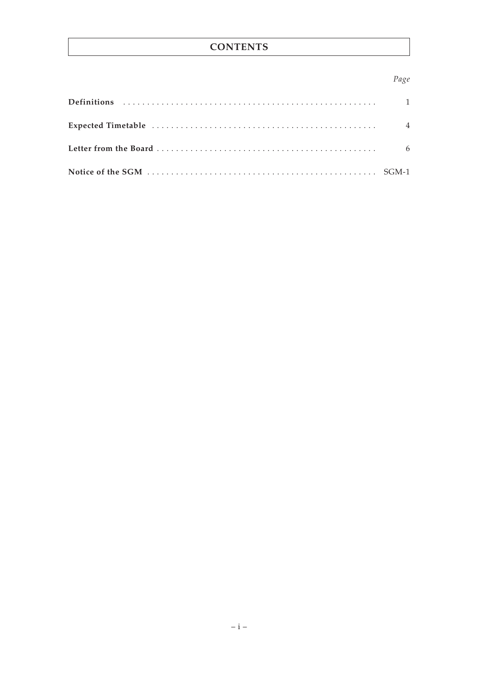# **CONTENTS**

# Page

| 6 |
|---|
|   |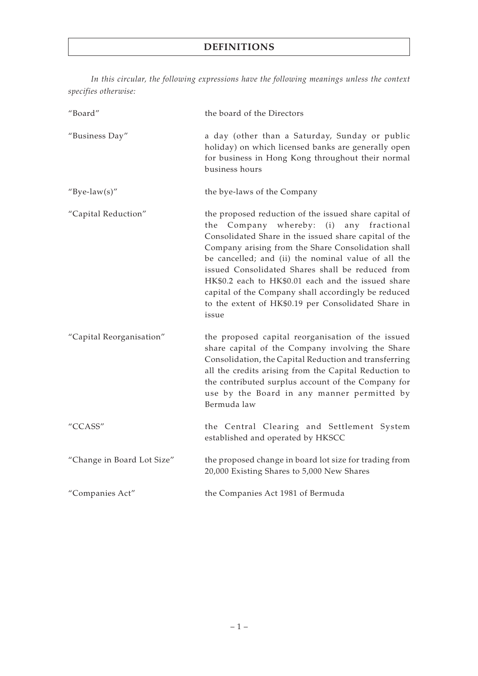# **DEFINITIONS**

*In this circular, the following expressions have the following meanings unless the context specifies otherwise:*

| "Board"                    | the board of the Directors                                                                                                                                                                                                                                                                                                                                                                                                                                                                                    |  |  |
|----------------------------|---------------------------------------------------------------------------------------------------------------------------------------------------------------------------------------------------------------------------------------------------------------------------------------------------------------------------------------------------------------------------------------------------------------------------------------------------------------------------------------------------------------|--|--|
| "Business Day"             | a day (other than a Saturday, Sunday or public<br>holiday) on which licensed banks are generally open<br>for business in Hong Kong throughout their normal<br>business hours                                                                                                                                                                                                                                                                                                                                  |  |  |
| "Bye-law(s)"               | the bye-laws of the Company                                                                                                                                                                                                                                                                                                                                                                                                                                                                                   |  |  |
| "Capital Reduction"        | the proposed reduction of the issued share capital of<br>Company whereby: (i)<br>the<br>any fractional<br>Consolidated Share in the issued share capital of the<br>Company arising from the Share Consolidation shall<br>be cancelled; and (ii) the nominal value of all the<br>issued Consolidated Shares shall be reduced from<br>HK\$0.2 each to HK\$0.01 each and the issued share<br>capital of the Company shall accordingly be reduced<br>to the extent of HK\$0.19 per Consolidated Share in<br>issue |  |  |
| "Capital Reorganisation"   | the proposed capital reorganisation of the issued<br>share capital of the Company involving the Share<br>Consolidation, the Capital Reduction and transferring<br>all the credits arising from the Capital Reduction to<br>the contributed surplus account of the Company for<br>use by the Board in any manner permitted by<br>Bermuda law                                                                                                                                                                   |  |  |
| "CCASS"                    | the Central Clearing and Settlement System<br>established and operated by HKSCC                                                                                                                                                                                                                                                                                                                                                                                                                               |  |  |
| "Change in Board Lot Size" | the proposed change in board lot size for trading from<br>20,000 Existing Shares to 5,000 New Shares                                                                                                                                                                                                                                                                                                                                                                                                          |  |  |
| "Companies Act"            | the Companies Act 1981 of Bermuda                                                                                                                                                                                                                                                                                                                                                                                                                                                                             |  |  |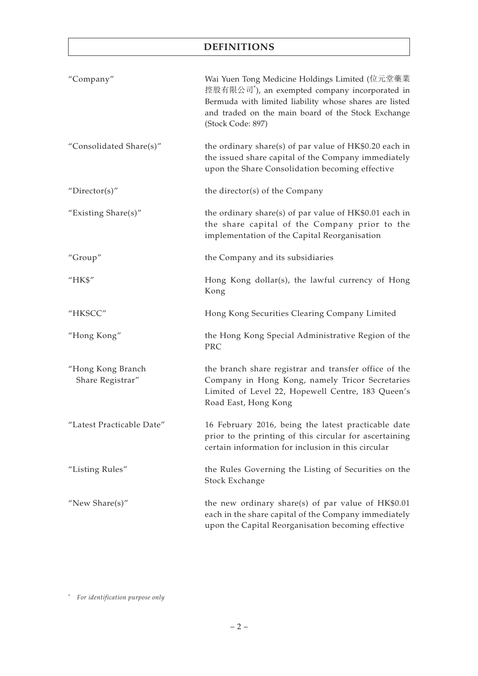# **DEFINITIONS**

| "Company"                             | Wai Yuen Tong Medicine Holdings Limited (位元堂藥業<br>控股有限公司 <sup>*</sup> ), an exempted company incorporated in<br>Bermuda with limited liability whose shares are listed<br>and traded on the main board of the Stock Exchange<br>(Stock Code: 897) |
|---------------------------------------|---------------------------------------------------------------------------------------------------------------------------------------------------------------------------------------------------------------------------------------------------|
| "Consolidated Share(s)"               | the ordinary share(s) of par value of HK\$0.20 each in<br>the issued share capital of the Company immediately<br>upon the Share Consolidation becoming effective                                                                                  |
| "Director(s)"                         | the director(s) of the Company                                                                                                                                                                                                                    |
| "Existing Share $(s)$ "               | the ordinary share(s) of par value of $HK$0.01$ each in<br>the share capital of the Company prior to the<br>implementation of the Capital Reorganisation                                                                                          |
| "Group"                               | the Company and its subsidiaries                                                                                                                                                                                                                  |
| "HK\$"                                | Hong Kong dollar(s), the lawful currency of Hong<br>Kong                                                                                                                                                                                          |
| "HKSCC"                               | Hong Kong Securities Clearing Company Limited                                                                                                                                                                                                     |
| "Hong Kong"                           | the Hong Kong Special Administrative Region of the<br>PRC                                                                                                                                                                                         |
| "Hong Kong Branch<br>Share Registrar" | the branch share registrar and transfer office of the<br>Company in Hong Kong, namely Tricor Secretaries<br>Limited of Level 22, Hopewell Centre, 183 Queen's<br>Road East, Hong Kong                                                             |
| "Latest Practicable Date"             | 16 February 2016, being the latest practicable date<br>prior to the printing of this circular for ascertaining<br>certain information for inclusion in this circular                                                                              |
| "Listing Rules"                       | the Rules Governing the Listing of Securities on the<br>Stock Exchange                                                                                                                                                                            |
| "New Share $(s)$ "                    | the new ordinary share(s) of par value of $HK$0.01$<br>each in the share capital of the Company immediately<br>upon the Capital Reorganisation becoming effective                                                                                 |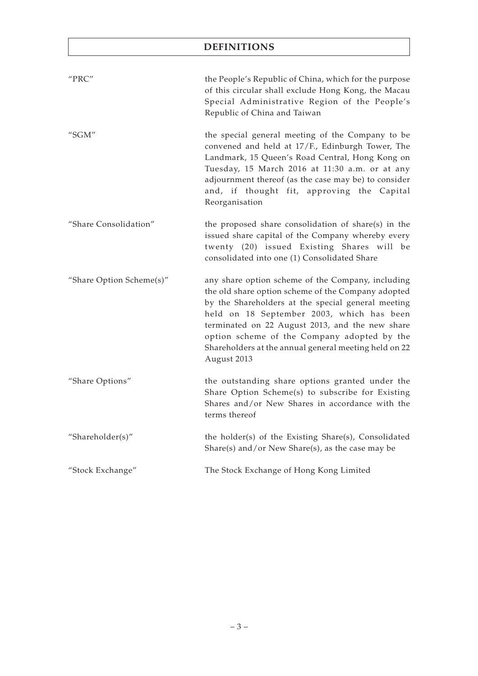# **DEFINITIONS**

| "PRC"                    | the People's Republic of China, which for the purpose<br>of this circular shall exclude Hong Kong, the Macau<br>Special Administrative Region of the People's<br>Republic of China and Taiwan                                                                                                                                                                                        |
|--------------------------|--------------------------------------------------------------------------------------------------------------------------------------------------------------------------------------------------------------------------------------------------------------------------------------------------------------------------------------------------------------------------------------|
| "SGM"                    | the special general meeting of the Company to be<br>convened and held at 17/F., Edinburgh Tower, The<br>Landmark, 15 Queen's Road Central, Hong Kong on<br>Tuesday, 15 March 2016 at 11:30 a.m. or at any<br>adjournment thereof (as the case may be) to consider<br>and, if thought fit, approving the Capital<br>Reorganisation                                                    |
| "Share Consolidation"    | the proposed share consolidation of share(s) in the<br>issued share capital of the Company whereby every<br>twenty (20) issued Existing Shares will be<br>consolidated into one (1) Consolidated Share                                                                                                                                                                               |
| "Share Option Scheme(s)" | any share option scheme of the Company, including<br>the old share option scheme of the Company adopted<br>by the Shareholders at the special general meeting<br>held on 18 September 2003, which has been<br>terminated on 22 August 2013, and the new share<br>option scheme of the Company adopted by the<br>Shareholders at the annual general meeting held on 22<br>August 2013 |
| "Share Options"          | the outstanding share options granted under the<br>Share Option Scheme(s) to subscribe for Existing<br>Shares and/or New Shares in accordance with the<br>terms thereof                                                                                                                                                                                                              |
| "Shareholder(s)"         | the holder(s) of the Existing Share(s), Consolidated<br>Share(s) and/or New Share(s), as the case may be                                                                                                                                                                                                                                                                             |
| "Stock Exchange"         | The Stock Exchange of Hong Kong Limited                                                                                                                                                                                                                                                                                                                                              |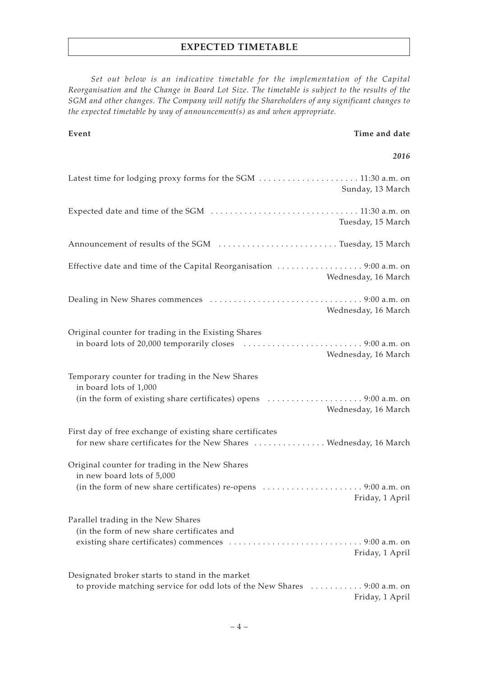# **EXPECTED TIMETABLE**

*Set out below is an indicative timetable for the implementation of the Capital Reorganisation and the Change in Board Lot Size. The timetable is subject to the results of the SGM and other changes. The Company will notify the Shareholders of any significant changes to the expected timetable by way of announcement(s) as and when appropriate.*

#### **Event Time and date**

#### *2016*

| Sunday, 13 March                                                                                                                               |
|------------------------------------------------------------------------------------------------------------------------------------------------|
| Tuesday, 15 March                                                                                                                              |
| Announcement of results of the SGM Tuesday, 15 March                                                                                           |
| Effective date and time of the Capital Reorganisation 9:00 a.m. on<br>Wednesday, 16 March                                                      |
| Wednesday, 16 March                                                                                                                            |
| Original counter for trading in the Existing Shares<br>Wednesday, 16 March                                                                     |
| Temporary counter for trading in the New Shares<br>in board lots of 1,000<br>Wednesday, 16 March                                               |
| First day of free exchange of existing share certificates<br>for new share certificates for the New Shares  Wednesday, 16 March                |
| Original counter for trading in the New Shares<br>in new board lots of 5,000<br>Friday, 1 April                                                |
| Parallel trading in the New Shares<br>(in the form of new share certificates and<br>Friday, 1 April                                            |
| Designated broker starts to stand in the market<br>to provide matching service for odd lots of the New Shares  9:00 a.m. on<br>Friday, 1 April |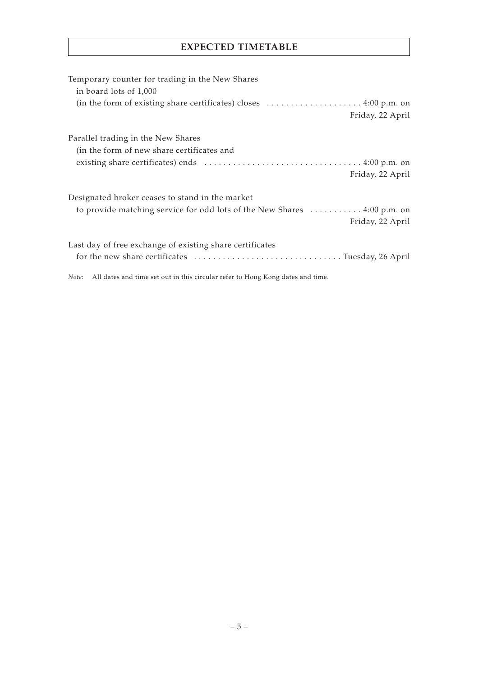# **EXPECTED TIMETABLE**

| Temporary counter for trading in the New Shares<br>in board lots of 1,000                                                        |
|----------------------------------------------------------------------------------------------------------------------------------|
| (in the form of existing share certificates) closes $\dots \dots \dots \dots \dots \dots \dots$ 4:00 p.m. on<br>Friday, 22 April |
| Parallel trading in the New Shares<br>(in the form of new share certificates and                                                 |
| Friday, 22 April                                                                                                                 |
| Designated broker ceases to stand in the market                                                                                  |
| to provide matching service for odd lots of the New Shares  4:00 p.m. on<br>Friday, 22 April                                     |
| Last day of free exchange of existing share certificates<br>for the new share certificates Tuesday, 26 April                     |
| Note: All dates and time set out in this circular refer to Hong Kong dates and time.                                             |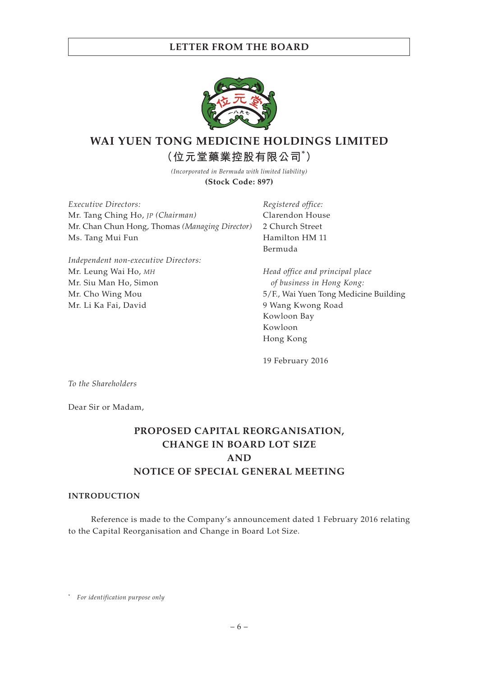

# **WAI YUEN TONG MEDICINE HOLDINGS LIMITED (位元堂藥業控股有限公司\* )**

*(Incorporated in Bermuda with limited liability)* **(Stock Code: 897)**

*Executive Directors:* Mr. Tang Ching Ho, *JP (Chairman)* Mr. Chan Chun Hong, Thomas *(Managing Director)* Ms. Tang Mui Fun

*Independent non-executive Directors:* Mr. Leung Wai Ho, *MH* Mr. Siu Man Ho, Simon Mr. Cho Wing Mou Mr. Li Ka Fai, David

*Registered office:* Clarendon House 2 Church Street Hamilton HM 11 Bermuda

*Head office and principal place of business in Hong Kong:* 5/F., Wai Yuen Tong Medicine Building 9 Wang Kwong Road Kowloon Bay Kowloon Hong Kong

19 February 2016

*To the Shareholders*

Dear Sir or Madam,

# **PROPOSED CAPITAL REORGANISATION, CHANGE IN BOARD LOT SIZE AND NOTICE OF SPECIAL GENERAL MEETING**

#### **INTRODUCTION**

Reference is made to the Company's announcement dated 1 February 2016 relating to the Capital Reorganisation and Change in Board Lot Size.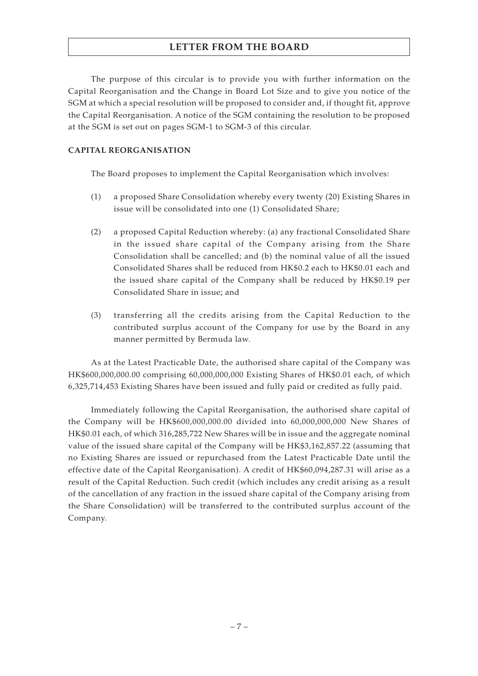The purpose of this circular is to provide you with further information on the Capital Reorganisation and the Change in Board Lot Size and to give you notice of the SGM at which a special resolution will be proposed to consider and, if thought fit, approve the Capital Reorganisation. A notice of the SGM containing the resolution to be proposed at the SGM is set out on pages SGM-1 to SGM-3 of this circular.

### **CAPITAL REORGANISATION**

The Board proposes to implement the Capital Reorganisation which involves:

- (1) a proposed Share Consolidation whereby every twenty (20) Existing Shares in issue will be consolidated into one (1) Consolidated Share;
- (2) a proposed Capital Reduction whereby: (a) any fractional Consolidated Share in the issued share capital of the Company arising from the Share Consolidation shall be cancelled; and (b) the nominal value of all the issued Consolidated Shares shall be reduced from HK\$0.2 each to HK\$0.01 each and the issued share capital of the Company shall be reduced by HK\$0.19 per Consolidated Share in issue; and
- (3) transferring all the credits arising from the Capital Reduction to the contributed surplus account of the Company for use by the Board in any manner permitted by Bermuda law.

As at the Latest Practicable Date, the authorised share capital of the Company was HK\$600,000,000.00 comprising 60,000,000,000 Existing Shares of HK\$0.01 each, of which 6,325,714,453 Existing Shares have been issued and fully paid or credited as fully paid.

Immediately following the Capital Reorganisation, the authorised share capital of the Company will be HK\$600,000,000.00 divided into 60,000,000,000 New Shares of HK\$0.01 each, of which 316,285,722 New Shares will be in issue and the aggregate nominal value of the issued share capital of the Company will be HK\$3,162,857.22 (assuming that no Existing Shares are issued or repurchased from the Latest Practicable Date until the effective date of the Capital Reorganisation). A credit of HK\$60,094,287.31 will arise as a result of the Capital Reduction. Such credit (which includes any credit arising as a result of the cancellation of any fraction in the issued share capital of the Company arising from the Share Consolidation) will be transferred to the contributed surplus account of the Company.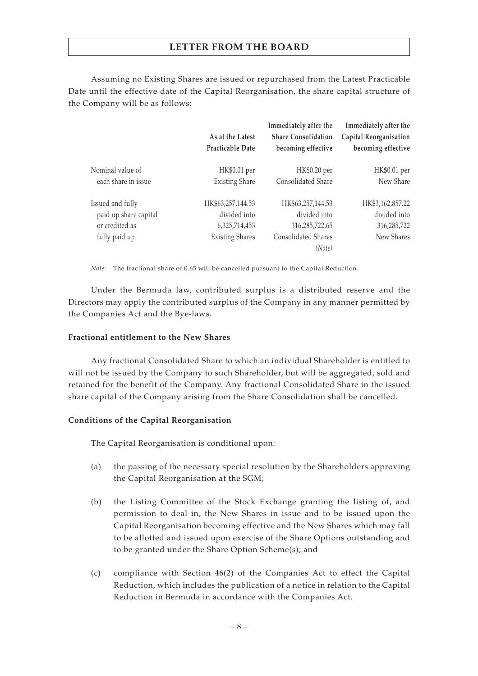Assuming no Existing Shares are issued or repurchased from the Latest Practicable Date until the effective date of the Capital Reorganisation, the share capital structure of the Company will be as follows:

|                       | As at the Latest<br>Practicable Date | Immediately after the<br><b>Share Consolidation</b><br>becoming effective | Immediately after the<br>Capital Reorganisation<br>becoming effective |
|-----------------------|--------------------------------------|---------------------------------------------------------------------------|-----------------------------------------------------------------------|
| Nominal value of      | HK\$0.01 per                         | HK\$0.20 per                                                              | HK\$0.01 per                                                          |
| each share in issue   | <b>Existing Share</b>                | Consolidated Share                                                        | New Share                                                             |
| Issued and fully      | HK\$63,257,144.53                    | HK\$63,257,144.53                                                         | HK\$3,162,857.22                                                      |
| paid up share capital | divided into                         | divided into                                                              | divided into                                                          |
| or credited as        | 6,325,714,453                        | 316,285,722.65                                                            | 316,285,722                                                           |
| fully paid up         | <b>Existing Shares</b>               | Consolidated Shares                                                       | New Shares                                                            |
|                       |                                      | (Note)                                                                    |                                                                       |

*Note:* The fractional share of 0.65 will be cancelled pursuant to the Capital Reduction.

Under the Bermuda law, contributed surplus is a distributed reserve and the Directors may apply the contributed surplus of the Company in any manner permitted by the Companies Act and the Bye-laws.

#### **Fractional entitlement to the New Shares**

Any fractional Consolidated Share to which an individual Shareholder is entitled to will not be issued by the Company to such Shareholder, but will be aggregated, sold and retained for the benefit of the Company. Any fractional Consolidated Share in the issued share capital of the Company arising from the Share Consolidation shall be cancelled.

### **Conditions of the Capital Reorganisation**

The Capital Reorganisation is conditional upon:

- (a) the passing of the necessary special resolution by the Shareholders approving the Capital Reorganisation at the SGM;
- (b) the Listing Committee of the Stock Exchange granting the listing of, and permission to deal in, the New Shares in issue and to be issued upon the Capital Reorganisation becoming effective and the New Shares which may fall to be allotted and issued upon exercise of the Share Options outstanding and to be granted under the Share Option Scheme(s); and
- (c) compliance with Section 46(2) of the Companies Act to effect the Capital Reduction, which includes the publication of a notice in relation to the Capital Reduction in Bermuda in accordance with the Companies Act.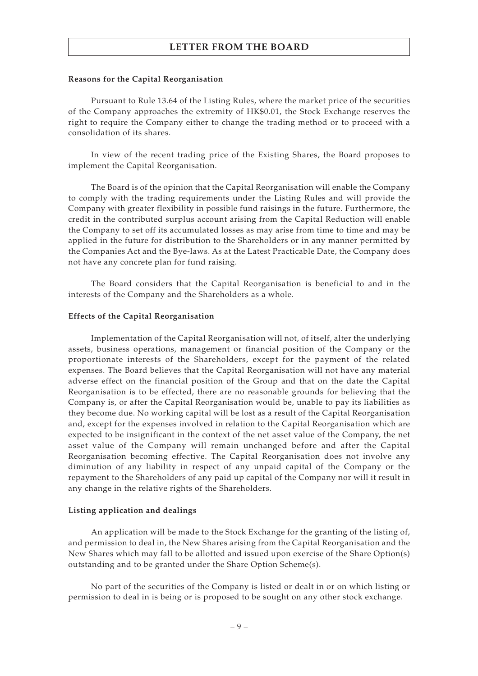#### **Reasons for the Capital Reorganisation**

Pursuant to Rule 13.64 of the Listing Rules, where the market price of the securities of the Company approaches the extremity of HK\$0.01, the Stock Exchange reserves the right to require the Company either to change the trading method or to proceed with a consolidation of its shares.

In view of the recent trading price of the Existing Shares, the Board proposes to implement the Capital Reorganisation.

The Board is of the opinion that the Capital Reorganisation will enable the Company to comply with the trading requirements under the Listing Rules and will provide the Company with greater flexibility in possible fund raisings in the future. Furthermore, the credit in the contributed surplus account arising from the Capital Reduction will enable the Company to set off its accumulated losses as may arise from time to time and may be applied in the future for distribution to the Shareholders or in any manner permitted by the Companies Act and the Bye-laws. As at the Latest Practicable Date, the Company does not have any concrete plan for fund raising.

The Board considers that the Capital Reorganisation is beneficial to and in the interests of the Company and the Shareholders as a whole.

#### **Effects of the Capital Reorganisation**

Implementation of the Capital Reorganisation will not, of itself, alter the underlying assets, business operations, management or financial position of the Company or the proportionate interests of the Shareholders, except for the payment of the related expenses. The Board believes that the Capital Reorganisation will not have any material adverse effect on the financial position of the Group and that on the date the Capital Reorganisation is to be effected, there are no reasonable grounds for believing that the Company is, or after the Capital Reorganisation would be, unable to pay its liabilities as they become due. No working capital will be lost as a result of the Capital Reorganisation and, except for the expenses involved in relation to the Capital Reorganisation which are expected to be insignificant in the context of the net asset value of the Company, the net asset value of the Company will remain unchanged before and after the Capital Reorganisation becoming effective. The Capital Reorganisation does not involve any diminution of any liability in respect of any unpaid capital of the Company or the repayment to the Shareholders of any paid up capital of the Company nor will it result in any change in the relative rights of the Shareholders.

#### **Listing application and dealings**

An application will be made to the Stock Exchange for the granting of the listing of, and permission to deal in, the New Shares arising from the Capital Reorganisation and the New Shares which may fall to be allotted and issued upon exercise of the Share Option(s) outstanding and to be granted under the Share Option Scheme(s).

No part of the securities of the Company is listed or dealt in or on which listing or permission to deal in is being or is proposed to be sought on any other stock exchange.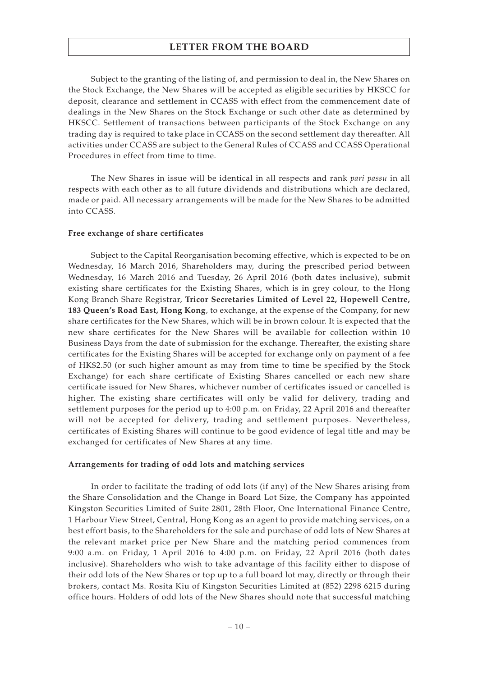Subject to the granting of the listing of, and permission to deal in, the New Shares on the Stock Exchange, the New Shares will be accepted as eligible securities by HKSCC for deposit, clearance and settlement in CCASS with effect from the commencement date of dealings in the New Shares on the Stock Exchange or such other date as determined by HKSCC. Settlement of transactions between participants of the Stock Exchange on any trading day is required to take place in CCASS on the second settlement day thereafter. All activities under CCASS are subject to the General Rules of CCASS and CCASS Operational Procedures in effect from time to time.

The New Shares in issue will be identical in all respects and rank *pari passu* in all respects with each other as to all future dividends and distributions which are declared, made or paid. All necessary arrangements will be made for the New Shares to be admitted into CCASS.

#### **Free exchange of share certificates**

Subject to the Capital Reorganisation becoming effective, which is expected to be on Wednesday, 16 March 2016, Shareholders may, during the prescribed period between Wednesday, 16 March 2016 and Tuesday, 26 April 2016 (both dates inclusive), submit existing share certificates for the Existing Shares, which is in grey colour, to the Hong Kong Branch Share Registrar, **Tricor Secretaries Limited of Level 22, Hopewell Centre, 183 Queen's Road East, Hong Kong**, to exchange, at the expense of the Company, for new share certificates for the New Shares, which will be in brown colour. It is expected that the new share certificates for the New Shares will be available for collection within 10 Business Days from the date of submission for the exchange. Thereafter, the existing share certificates for the Existing Shares will be accepted for exchange only on payment of a fee of HK\$2.50 (or such higher amount as may from time to time be specified by the Stock Exchange) for each share certificate of Existing Shares cancelled or each new share certificate issued for New Shares, whichever number of certificates issued or cancelled is higher. The existing share certificates will only be valid for delivery, trading and settlement purposes for the period up to 4:00 p.m. on Friday, 22 April 2016 and thereafter will not be accepted for delivery, trading and settlement purposes. Nevertheless, certificates of Existing Shares will continue to be good evidence of legal title and may be exchanged for certificates of New Shares at any time.

#### **Arrangements for trading of odd lots and matching services**

In order to facilitate the trading of odd lots (if any) of the New Shares arising from the Share Consolidation and the Change in Board Lot Size, the Company has appointed Kingston Securities Limited of Suite 2801, 28th Floor, One International Finance Centre, 1 Harbour View Street, Central, Hong Kong as an agent to provide matching services, on a best effort basis, to the Shareholders for the sale and purchase of odd lots of New Shares at the relevant market price per New Share and the matching period commences from 9:00 a.m. on Friday, 1 April 2016 to 4:00 p.m. on Friday, 22 April 2016 (both dates inclusive). Shareholders who wish to take advantage of this facility either to dispose of their odd lots of the New Shares or top up to a full board lot may, directly or through their brokers, contact Ms. Rosita Kiu of Kingston Securities Limited at (852) 2298 6215 during office hours. Holders of odd lots of the New Shares should note that successful matching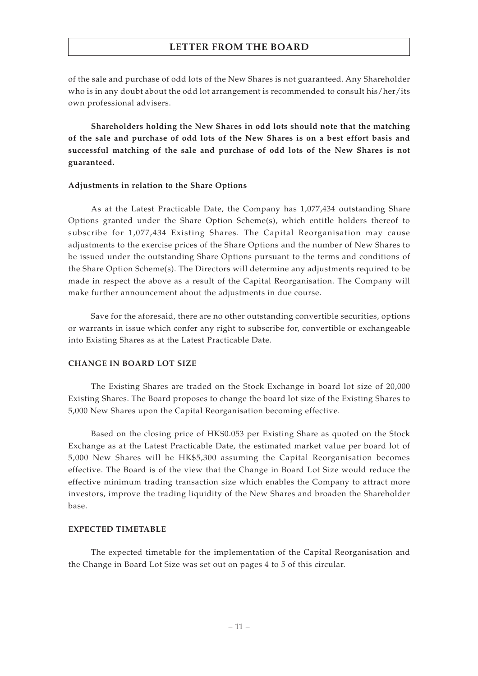of the sale and purchase of odd lots of the New Shares is not guaranteed. Any Shareholder who is in any doubt about the odd lot arrangement is recommended to consult his/her/its own professional advisers.

**Shareholders holding the New Shares in odd lots should note that the matching of the sale and purchase of odd lots of the New Shares is on a best effort basis and successful matching of the sale and purchase of odd lots of the New Shares is not guaranteed.**

#### **Adjustments in relation to the Share Options**

As at the Latest Practicable Date, the Company has 1,077,434 outstanding Share Options granted under the Share Option Scheme(s), which entitle holders thereof to subscribe for 1,077,434 Existing Shares. The Capital Reorganisation may cause adjustments to the exercise prices of the Share Options and the number of New Shares to be issued under the outstanding Share Options pursuant to the terms and conditions of the Share Option Scheme(s). The Directors will determine any adjustments required to be made in respect the above as a result of the Capital Reorganisation. The Company will make further announcement about the adjustments in due course.

Save for the aforesaid, there are no other outstanding convertible securities, options or warrants in issue which confer any right to subscribe for, convertible or exchangeable into Existing Shares as at the Latest Practicable Date.

#### **CHANGE IN BOARD LOT SIZE**

The Existing Shares are traded on the Stock Exchange in board lot size of 20,000 Existing Shares. The Board proposes to change the board lot size of the Existing Shares to 5,000 New Shares upon the Capital Reorganisation becoming effective.

Based on the closing price of HK\$0.053 per Existing Share as quoted on the Stock Exchange as at the Latest Practicable Date, the estimated market value per board lot of 5,000 New Shares will be HK\$5,300 assuming the Capital Reorganisation becomes effective. The Board is of the view that the Change in Board Lot Size would reduce the effective minimum trading transaction size which enables the Company to attract more investors, improve the trading liquidity of the New Shares and broaden the Shareholder base.

#### **EXPECTED TIMETABLE**

The expected timetable for the implementation of the Capital Reorganisation and the Change in Board Lot Size was set out on pages 4 to 5 of this circular.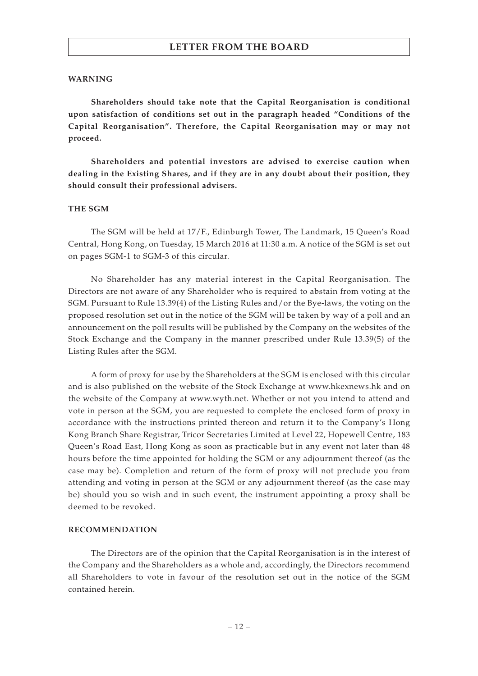#### **WARNING**

**Shareholders should take note that the Capital Reorganisation is conditional upon satisfaction of conditions set out in the paragraph headed "Conditions of the Capital Reorganisation". Therefore, the Capital Reorganisation may or may not proceed.**

**Shareholders and potential investors are advised to exercise caution when dealing in the Existing Shares, and if they are in any doubt about their position, they should consult their professional advisers.**

#### **THE SGM**

The SGM will be held at 17/F., Edinburgh Tower, The Landmark, 15 Queen's Road Central, Hong Kong, on Tuesday, 15 March 2016 at 11:30 a.m. A notice of the SGM is set out on pages SGM-1 to SGM-3 of this circular.

No Shareholder has any material interest in the Capital Reorganisation. The Directors are not aware of any Shareholder who is required to abstain from voting at the SGM. Pursuant to Rule 13.39(4) of the Listing Rules and/or the Bye-laws, the voting on the proposed resolution set out in the notice of the SGM will be taken by way of a poll and an announcement on the poll results will be published by the Company on the websites of the Stock Exchange and the Company in the manner prescribed under Rule 13.39(5) of the Listing Rules after the SGM.

A form of proxy for use by the Shareholders at the SGM is enclosed with this circular and is also published on the website of the Stock Exchange at www.hkexnews.hk and on the website of the Company at www.wyth.net. Whether or not you intend to attend and vote in person at the SGM, you are requested to complete the enclosed form of proxy in accordance with the instructions printed thereon and return it to the Company's Hong Kong Branch Share Registrar, Tricor Secretaries Limited at Level 22, Hopewell Centre, 183 Queen's Road East, Hong Kong as soon as practicable but in any event not later than 48 hours before the time appointed for holding the SGM or any adjournment thereof (as the case may be). Completion and return of the form of proxy will not preclude you from attending and voting in person at the SGM or any adjournment thereof (as the case may be) should you so wish and in such event, the instrument appointing a proxy shall be deemed to be revoked.

#### **RECOMMENDATION**

The Directors are of the opinion that the Capital Reorganisation is in the interest of the Company and the Shareholders as a whole and, accordingly, the Directors recommend all Shareholders to vote in favour of the resolution set out in the notice of the SGM contained herein.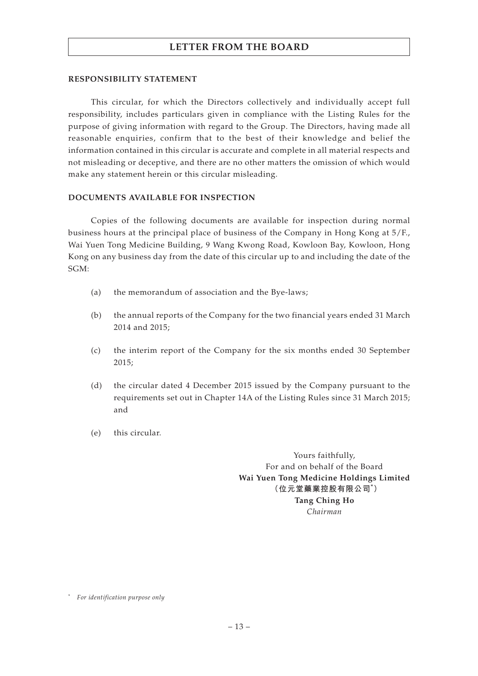#### **RESPONSIBILITY STATEMENT**

This circular, for which the Directors collectively and individually accept full responsibility, includes particulars given in compliance with the Listing Rules for the purpose of giving information with regard to the Group. The Directors, having made all reasonable enquiries, confirm that to the best of their knowledge and belief the information contained in this circular is accurate and complete in all material respects and not misleading or deceptive, and there are no other matters the omission of which would make any statement herein or this circular misleading.

#### **DOCUMENTS AVAILABLE FOR INSPECTION**

Copies of the following documents are available for inspection during normal business hours at the principal place of business of the Company in Hong Kong at 5/F., Wai Yuen Tong Medicine Building, 9 Wang Kwong Road, Kowloon Bay, Kowloon, Hong Kong on any business day from the date of this circular up to and including the date of the SGM:

- (a) the memorandum of association and the Bye-laws;
- (b) the annual reports of the Company for the two financial years ended 31 March 2014 and 2015;
- (c) the interim report of the Company for the six months ended 30 September 2015;
- (d) the circular dated 4 December 2015 issued by the Company pursuant to the requirements set out in Chapter 14A of the Listing Rules since 31 March 2015; and
- (e) this circular.

Yours faithfully, For and on behalf of the Board **Wai Yuen Tong Medicine Holdings Limited (位元堂藥業控股有限公司\* ) Tang Ching Ho** *Chairman*

<sup>\*</sup> *For identification purpose only*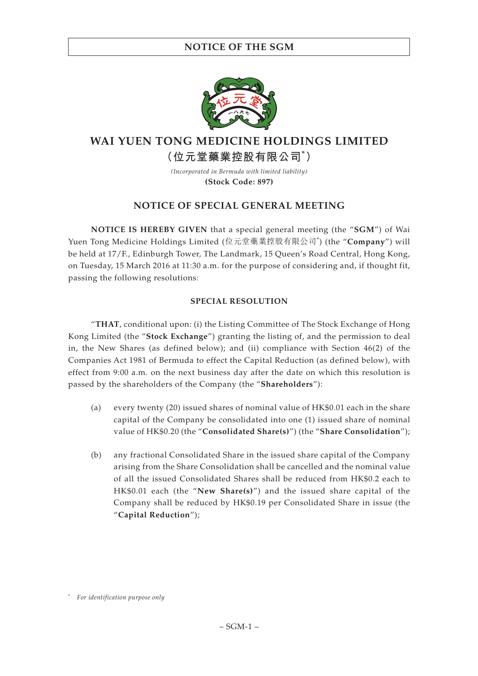# **NOTICE OF THE SGM**



# **WAI YUEN TONG MEDICINE HOLDINGS LIMITED (位元堂藥業控股有限公司\* )**

*(Incorporated in Bermuda with limited liability)* **(Stock Code: 897)**

# **NOTICE OF SPECIAL GENERAL MEETING**

**NOTICE IS HEREBY GIVEN** that a special general meeting (the "**SGM**") of Wai Yuen Tong Medicine Holdings Limited (位元堂藥業控股有限公司\* ) (the "**Company**") will be held at 17/F., Edinburgh Tower, The Landmark, 15 Queen's Road Central, Hong Kong, on Tuesday, 15 March 2016 at 11:30 a.m. for the purpose of considering and, if thought fit, passing the following resolutions:

### **SPECIAL RESOLUTION**

"**THAT**, conditional upon: (i) the Listing Committee of The Stock Exchange of Hong Kong Limited (the "**Stock Exchange**") granting the listing of, and the permission to deal in, the New Shares (as defined below); and (ii) compliance with Section 46(2) of the Companies Act 1981 of Bermuda to effect the Capital Reduction (as defined below), with effect from 9:00 a.m. on the next business day after the date on which this resolution is passed by the shareholders of the Company (the "**Shareholders**"):

- (a) every twenty (20) issued shares of nominal value of HK\$0.01 each in the share capital of the Company be consolidated into one (1) issued share of nominal value of HK\$0.20 (the "**Consolidated Share(s)**") (the "**Share Consolidation**");
- (b) any fractional Consolidated Share in the issued share capital of the Company arising from the Share Consolidation shall be cancelled and the nominal value of all the issued Consolidated Shares shall be reduced from HK\$0.2 each to HK\$0.01 each (the "**New Share(s)**") and the issued share capital of the Company shall be reduced by HK\$0.19 per Consolidated Share in issue (the "**Capital Reduction**");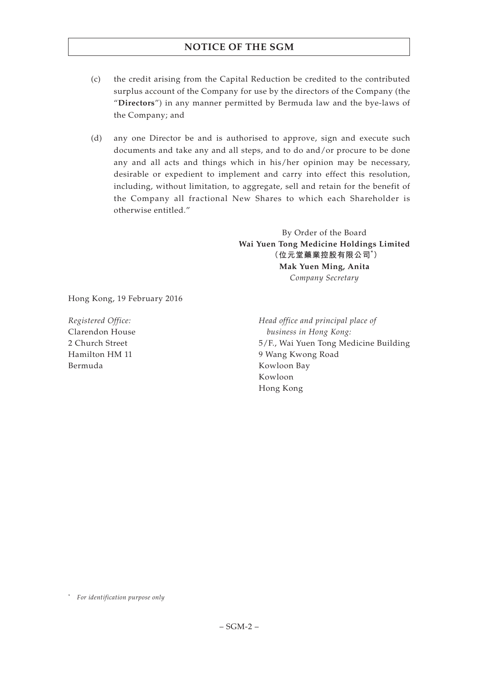# **NOTICE OF THE SGM**

- (c) the credit arising from the Capital Reduction be credited to the contributed surplus account of the Company for use by the directors of the Company (the "**Directors**") in any manner permitted by Bermuda law and the bye-laws of the Company; and
- (d) any one Director be and is authorised to approve, sign and execute such documents and take any and all steps, and to do and/or procure to be done any and all acts and things which in his/her opinion may be necessary, desirable or expedient to implement and carry into effect this resolution, including, without limitation, to aggregate, sell and retain for the benefit of the Company all fractional New Shares to which each Shareholder is otherwise entitled."

By Order of the Board **Wai Yuen Tong Medicine Holdings Limited (位元堂藥業控股有限公司\* ) Mak Yuen Ming, Anita** *Company Secretary*

Hong Kong, 19 February 2016

*Registered Office:* Clarendon House 2 Church Street Hamilton HM 11 Bermuda

*Head office and principal place of business in Hong Kong:* 5/F., Wai Yuen Tong Medicine Building 9 Wang Kwong Road Kowloon Bay Kowloon Hong Kong